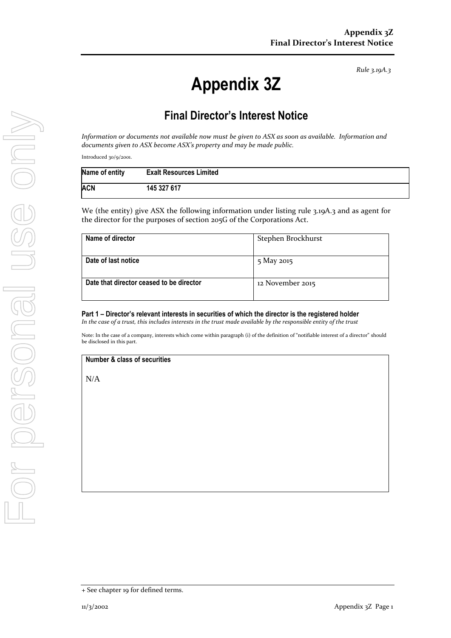*Rule 3.19A.3*

## **Appendix 3Z**

## **Final Director's Interest Notice**

*Information or documents not available now must be given to ASX as soon as available. Information and documents given to ASX become ASX's property and may be made public.*

Introduced 30/9/2001.

| Name of entity | <b>Exalt Resources Limited</b> |
|----------------|--------------------------------|
| ACN            | 145 327 617                    |

We (the entity) give ASX the following information under listing rule 3.19A.3 and as agent for the director for the purposes of section 205G of the Corporations Act.

| Name of director                         | Stephen Brockhurst |
|------------------------------------------|--------------------|
| Date of last notice                      | 5 May 2015         |
| Date that director ceased to be director | 12 November 2015   |

**Part 1 – Director's relevant interests in securities of which the director is the registered holder** *In the case of a trust, this includes interests in the trust made available by the responsible entity of the trust*

Note: In the case of a company, interests which come within paragraph (i) of the definition of "notifiable interest of a director" should be disclosed in this part.

**Number & class of securities**

N/A

<sup>+</sup> See chapter 19 for defined terms.